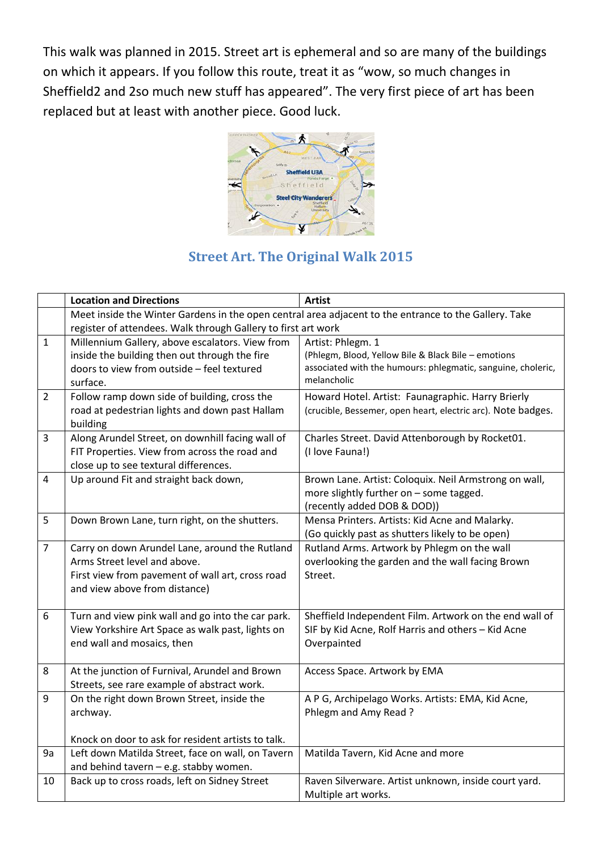This walk was planned in 2015. Street art is ephemeral and so are many of the buildings on which it appears. If you follow this route, treat it as "wow, so much changes in Sheffield2 and 2so much new stuff has appeared". The very first piece of art has been replaced but at least with another piece. Good luck.



## **Street Art. The Original Walk 2015**

|                | <b>Location and Directions</b>                                | <b>Artist</b>                                                                                         |
|----------------|---------------------------------------------------------------|-------------------------------------------------------------------------------------------------------|
|                |                                                               | Meet inside the Winter Gardens in the open central area adjacent to the entrance to the Gallery. Take |
|                | register of attendees. Walk through Gallery to first art work |                                                                                                       |
| $\mathbf{1}$   | Millennium Gallery, above escalators. View from               | Artist: Phlegm. 1                                                                                     |
|                | inside the building then out through the fire                 | (Phlegm, Blood, Yellow Bile & Black Bile - emotions                                                   |
|                | doors to view from outside - feel textured                    | associated with the humours: phlegmatic, sanguine, choleric,                                          |
|                | surface.                                                      | melancholic                                                                                           |
| $\overline{2}$ | Follow ramp down side of building, cross the                  | Howard Hotel. Artist: Faunagraphic. Harry Brierly                                                     |
|                | road at pedestrian lights and down past Hallam                | (crucible, Bessemer, open heart, electric arc). Note badges.                                          |
|                | building                                                      |                                                                                                       |
| 3              | Along Arundel Street, on downhill facing wall of              | Charles Street. David Attenborough by Rocket01.                                                       |
|                | FIT Properties. View from across the road and                 | (I love Fauna!)                                                                                       |
| 4              | close up to see textural differences.                         |                                                                                                       |
|                | Up around Fit and straight back down,                         | Brown Lane. Artist: Coloquix. Neil Armstrong on wall,<br>more slightly further on - some tagged.      |
|                |                                                               | (recently added DOB & DOD))                                                                           |
| 5              | Down Brown Lane, turn right, on the shutters.                 | Mensa Printers. Artists: Kid Acne and Malarky.                                                        |
|                |                                                               | (Go quickly past as shutters likely to be open)                                                       |
| $\overline{7}$ | Carry on down Arundel Lane, around the Rutland                | Rutland Arms. Artwork by Phlegm on the wall                                                           |
|                | Arms Street level and above.                                  | overlooking the garden and the wall facing Brown                                                      |
|                | First view from pavement of wall art, cross road              | Street.                                                                                               |
|                | and view above from distance)                                 |                                                                                                       |
|                |                                                               |                                                                                                       |
| 6              | Turn and view pink wall and go into the car park.             | Sheffield Independent Film. Artwork on the end wall of                                                |
|                | View Yorkshire Art Space as walk past, lights on              | SIF by Kid Acne, Rolf Harris and others - Kid Acne                                                    |
|                | end wall and mosaics, then                                    | Overpainted                                                                                           |
|                |                                                               |                                                                                                       |
| 8              | At the junction of Furnival, Arundel and Brown                | Access Space. Artwork by EMA                                                                          |
|                | Streets, see rare example of abstract work.                   |                                                                                                       |
| 9              | On the right down Brown Street, inside the                    | A P G, Archipelago Works. Artists: EMA, Kid Acne,                                                     |
|                | archway.                                                      | Phlegm and Amy Read?                                                                                  |
|                | Knock on door to ask for resident artists to talk.            |                                                                                                       |
| 9a             | Left down Matilda Street, face on wall, on Tavern             | Matilda Tavern, Kid Acne and more                                                                     |
|                | and behind tavern - e.g. stabby women.                        |                                                                                                       |
| 10             | Back up to cross roads, left on Sidney Street                 | Raven Silverware. Artist unknown, inside court yard.                                                  |
|                |                                                               | Multiple art works.                                                                                   |